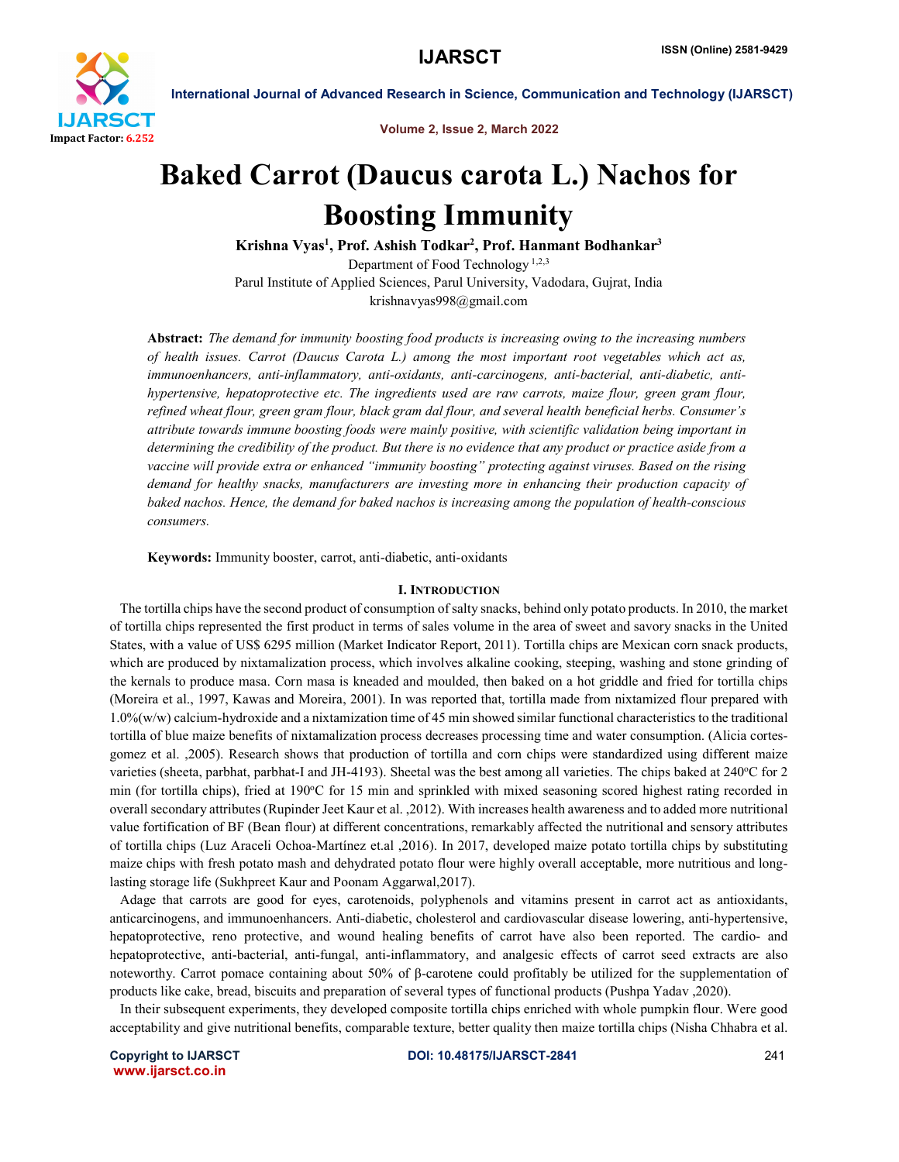

International Journal of Advanced Research in Science, Communication and Technology (IJARSCT)

Volume 2, Issue 2, March 2022

# Baked Carrot (Daucus carota L.) Nachos for Boosting Immunity

Krishna Vyas<sup>1</sup>, Prof. Ashish Todkar<sup>2</sup>, Prof. Hanmant Bodhankar<sup>3</sup>

Department of Food Technology 1,2,3 Parul Institute of Applied Sciences, Parul University, Vadodara, Gujrat, India krishnavyas998@gmail.com

Abstract: *The demand for immunity boosting food products is increasing owing to the increasing numbers of health issues. Carrot (Daucus Carota L.) among the most important root vegetables which act as, immunoenhancers, anti-inflammatory, anti-oxidants, anti-carcinogens, anti-bacterial, anti-diabetic, antihypertensive, hepatoprotective etc. The ingredients used are raw carrots, maize flour, green gram flour, refined wheat flour, green gram flour, black gram dal flour, and several health beneficial herbs. Consumer's attribute towards immune boosting foods were mainly positive, with scientific validation being important in determining the credibility of the product. But there is no evidence that any product or practice aside from a vaccine will provide extra or enhanced "immunity boosting" protecting against viruses. Based on the rising demand for healthy snacks, manufacturers are investing more in enhancing their production capacity of baked nachos. Hence, the demand for baked nachos is increasing among the population of health-conscious consumers.*

Keywords: Immunity booster, carrot, anti-diabetic, anti-oxidants

#### I. INTRODUCTION

 The tortilla chips have the second product of consumption of salty snacks, behind only potato products. In 2010, the market of tortilla chips represented the first product in terms of sales volume in the area of sweet and savory snacks in the United States, with a value of US\$ 6295 million (Market Indicator Report, 2011). Tortilla chips are Mexican corn snack products, which are produced by nixtamalization process, which involves alkaline cooking, steeping, washing and stone grinding of the kernals to produce masa. Corn masa is kneaded and moulded, then baked on a hot griddle and fried for tortilla chips (Moreira et al., 1997, Kawas and Moreira, 2001). In was reported that, tortilla made from nixtamized flour prepared with 1.0%(w/w) calcium-hydroxide and a nixtamization time of 45 min showed similar functional characteristics to the traditional tortilla of blue maize benefits of nixtamalization process decreases processing time and water consumption. (Alicia cortesgomez et al. ,2005). Research shows that production of tortilla and corn chips were standardized using different maize varieties (sheeta, parbhat, parbhat-I and JH-4193). Sheetal was the best among all varieties. The chips baked at 240°C for 2 min (for tortilla chips), fried at 190°C for 15 min and sprinkled with mixed seasoning scored highest rating recorded in overall secondary attributes (Rupinder Jeet Kaur et al. ,2012). With increases health awareness and to added more nutritional value fortification of BF (Bean flour) at different concentrations, remarkably affected the nutritional and sensory attributes of tortilla chips (Luz Araceli Ochoa-Martínez et.al ,2016). In 2017, developed maize potato tortilla chips by substituting maize chips with fresh potato mash and dehydrated potato flour were highly overall acceptable, more nutritious and longlasting storage life (Sukhpreet Kaur and Poonam Aggarwal,2017).

 Adage that carrots are good for eyes, carotenoids, polyphenols and vitamins present in carrot act as antioxidants, anticarcinogens, and immunoenhancers. Anti-diabetic, cholesterol and cardiovascular disease lowering, anti-hypertensive, hepatoprotective, reno protective, and wound healing benefits of carrot have also been reported. The cardio- and hepatoprotective, anti-bacterial, anti-fungal, anti-inflammatory, and analgesic effects of carrot seed extracts are also noteworthy. Carrot pomace containing about 50% of β-carotene could profitably be utilized for the supplementation of products like cake, bread, biscuits and preparation of several types of functional products (Pushpa Yadav ,2020).

 In their subsequent experiments, they developed composite tortilla chips enriched with whole pumpkin flour. Were good acceptability and give nutritional benefits, comparable texture, better quality then maize tortilla chips (Nisha Chhabra et al.

www.ijarsct.co.in

Copyright to IJARSCT DOI: 10.48175/IJARSCT-2841 241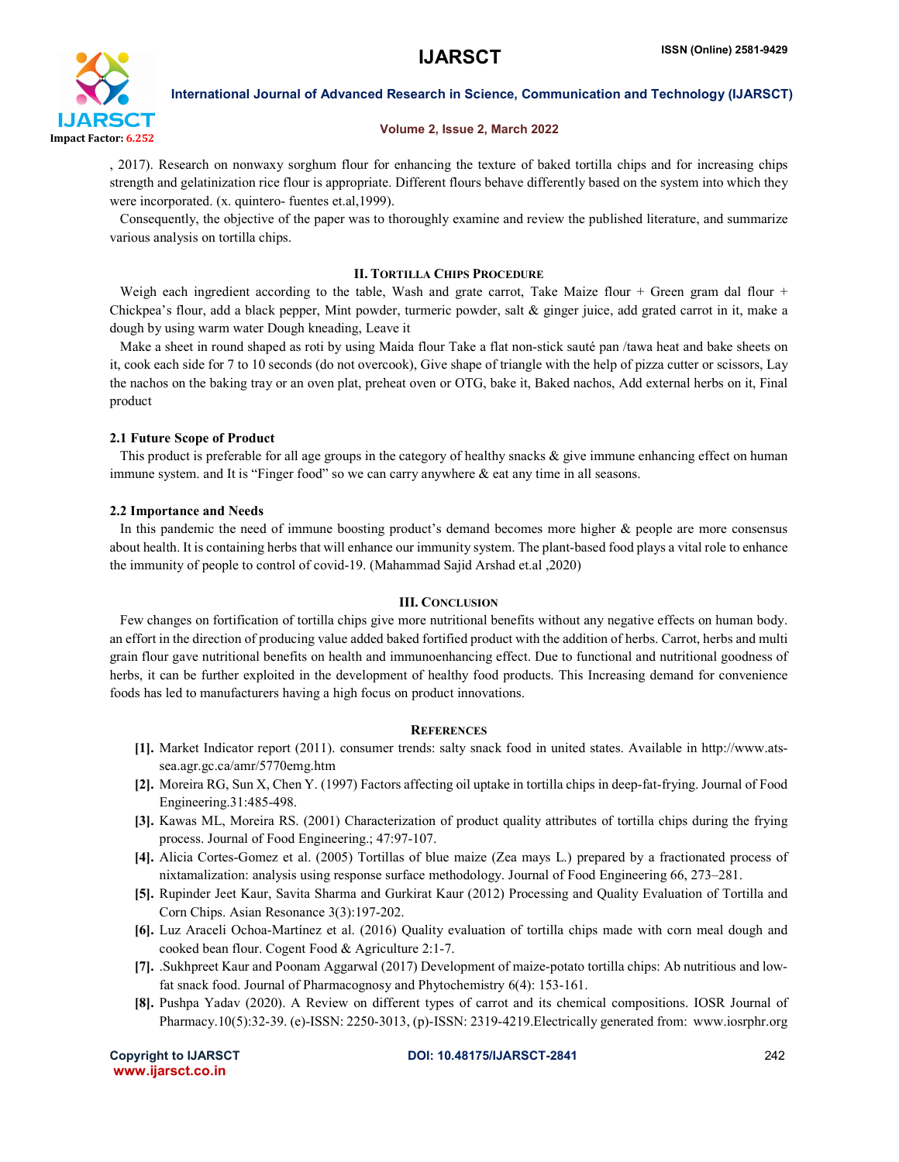

International Journal of Advanced Research in Science, Communication and Technology (IJARSCT)

### Volume 2, Issue 2, March 2022

, 2017). Research on nonwaxy sorghum flour for enhancing the texture of baked tortilla chips and for increasing chips strength and gelatinization rice flour is appropriate. Different flours behave differently based on the system into which they were incorporated. (x. quintero- fuentes et.al,1999).

 Consequently, the objective of the paper was to thoroughly examine and review the published literature, and summarize various analysis on tortilla chips.

### II. TORTILLA CHIPS PROCEDURE

Weigh each ingredient according to the table, Wash and grate carrot, Take Maize flour + Green gram dal flour + Chickpea's flour, add a black pepper, Mint powder, turmeric powder, salt & ginger juice, add grated carrot in it, make a dough by using warm water Dough kneading, Leave it

 Make a sheet in round shaped as roti by using Maida flour Take a flat non-stick sauté pan /tawa heat and bake sheets on it, cook each side for 7 to 10 seconds (do not overcook), Give shape of triangle with the help of pizza cutter or scissors, Lay the nachos on the baking tray or an oven plat, preheat oven or OTG, bake it, Baked nachos, Add external herbs on it, Final product

#### 2.1 Future Scope of Product

This product is preferable for all age groups in the category of healthy snacks  $\&$  give immune enhancing effect on human immune system. and It is "Finger food" so we can carry anywhere & eat any time in all seasons.

#### 2.2 Importance and Needs

 In this pandemic the need of immune boosting product's demand becomes more higher & people are more consensus about health. It is containing herbs that will enhance our immunity system. The plant-based food plays a vital role to enhance the immunity of people to control of covid-19. (Mahammad Sajid Arshad et.al ,2020)

#### III. CONCLUSION

 Few changes on fortification of tortilla chips give more nutritional benefits without any negative effects on human body. an effort in the direction of producing value added baked fortified product with the addition of herbs. Carrot, herbs and multi grain flour gave nutritional benefits on health and immunoenhancing effect. Due to functional and nutritional goodness of herbs, it can be further exploited in the development of healthy food products. This Increasing demand for convenience foods has led to manufacturers having a high focus on product innovations.

#### **REFERENCES**

- [1]. Market Indicator report (2011). consumer trends: salty snack food in united states. Available in http://www.atssea.agr.gc.ca/amr/5770emg.htm
- [2]. Moreira RG, Sun X, Chen Y. (1997) Factors affecting oil uptake in tortilla chips in deep-fat-frying. Journal of Food Engineering.31:485-498.
- [3]. Kawas ML, Moreira RS. (2001) Characterization of product quality attributes of tortilla chips during the frying process. Journal of Food Engineering.; 47:97-107.
- [4]. Alicia Cortes-Gomez et al. (2005) Tortillas of blue maize (Zea mays L.) prepared by a fractionated process of nixtamalization: analysis using response surface methodology. Journal of Food Engineering 66, 273–281.
- [5]. Rupinder Jeet Kaur, Savita Sharma and Gurkirat Kaur (2012) Processing and Quality Evaluation of Tortilla and Corn Chips. Asian Resonance 3(3):197-202.
- [6]. Luz Araceli Ochoa-Martínez et al. (2016) Quality evaluation of tortilla chips made with corn meal dough and cooked bean flour. Cogent Food & Agriculture 2:1-7.
- [7]. .Sukhpreet Kaur and Poonam Aggarwal (2017) Development of maize-potato tortilla chips: Ab nutritious and lowfat snack food. Journal of Pharmacognosy and Phytochemistry 6(4): 153-161.
- [8]. Pushpa Yadav (2020). A Review on different types of carrot and its chemical compositions. IOSR Journal of Pharmacy.10(5):32-39. (e)-ISSN: 2250-3013, (p)-ISSN: 2319-4219.Electrically generated from: www.iosrphr.org